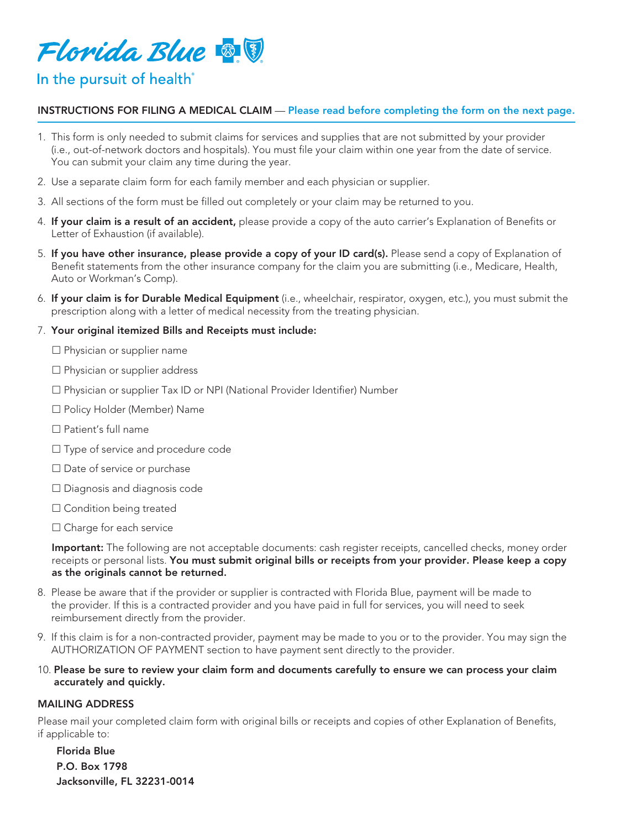

# In the pursuit of health<sup>®</sup>

## INSTRUCTIONS FOR FILING A MEDICAL CLAIM — Please read before completing the form on the next page.

- 1. This form is only needed to submit claims for services and supplies that are not submitted by your provider (i.e., out-of-network doctors and hospitals). You must file your claim within one year from the date of service. You can submit your claim any time during the year.
- 2. Use a separate claim form for each family member and each physician or supplier.
- 3. All sections of the form must be filled out completely or your claim may be returned to you.
- 4. If your claim is a result of an accident, please provide a copy of the auto carrier's Explanation of Benefits or Letter of Exhaustion (if available).
- 5. If you have other insurance, please provide a copy of your ID card(s). Please send a copy of Explanation of Benefit statements from the other insurance company for the claim you are submitting (i.e., Medicare, Health, Auto or Workman's Comp).
- 6. If your claim is for Durable Medical Equipment (i.e., wheelchair, respirator, oxygen, etc.), you must submit the prescription along with a letter of medical necessity from the treating physician.

### 7. Your original itemized Bills and Receipts must include:

- $\square$  Physician or supplier name
- $\square$  Physician or supplier address
- □ Physician or supplier Tax ID or NPI (National Provider Identifier) Number
- £ Policy Holder (Member) Name
- $\Box$  Patient's full name
- □ Type of service and procedure code
- $\square$  Date of service or purchase
- □ Diagnosis and diagnosis code
- $\square$  Condition being treated
- $\square$  Charge for each service

Important: The following are not acceptable documents: cash register receipts, cancelled checks, money order receipts or personal lists. You must submit original bills or receipts from your provider. Please keep a copy as the originals cannot be returned.

- 8. Please be aware that if the provider or supplier is contracted with Florida Blue, payment will be made to the provider. If this is a contracted provider and you have paid in full for services, you will need to seek reimbursement directly from the provider.
- 9. If this claim is for a non-contracted provider, payment may be made to you or to the provider. You may sign the AUTHORIZATION OF PAYMENT section to have payment sent directly to the provider.
- 10. Please be sure to review your claim form and documents carefully to ensure we can process your claim accurately and quickly.

### MAILING ADDRESS

Please mail your completed claim form with original bills or receipts and copies of other Explanation of Benefits, if applicable to:

Florida Blue P.O. Box 1798 Jacksonville, FL 32231-0014